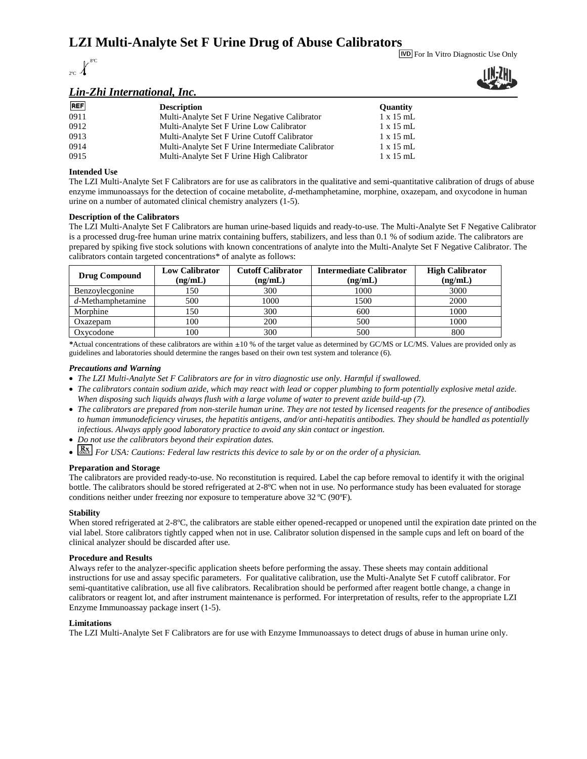# **LZI Multi-Analyte Set F Urine Drug of Abuse Calibrators**



For In Vitro Diagnostic Use Only

# *Lin-Zhi International, Inc.*



| <b>REF</b> | <b>Description</b>                                | <b>Ouantity</b>  |
|------------|---------------------------------------------------|------------------|
| 0911       | Multi-Analyte Set F Urine Negative Calibrator     | $1 \times 15$ mL |
| 0912       | Multi-Analyte Set F Urine Low Calibrator          | $1 \times 15$ mL |
| 0913       | Multi-Analyte Set F Urine Cutoff Calibrator       | $1 \times 15$ mL |
| 0914       | Multi-Analyte Set F Urine Intermediate Calibrator | $1 \times 15$ mL |
| 0915       | Multi-Analyte Set F Urine High Calibrator         | $1 \times 15$ mL |

## **Intended Use**

The LZI Multi-Analyte Set F Calibrators are for use as calibrators in the qualitative and semi-quantitative calibration of drugs of abuse enzyme immunoassays for the detection of cocaine metabolite, *d*-methamphetamine, morphine, oxazepam, and oxycodone in human urine on a number of automated clinical chemistry analyzers (1-5).

### **Description of the Calibrators**

The LZI Multi-Analyte Set F Calibrators are human urine-based liquids and ready-to-use. The Multi-Analyte Set F Negative Calibrator is a processed drug-free human urine matrix containing buffers, stabilizers, and less than 0.1 % of sodium azide. The calibrators are prepared by spiking five stock solutions with known concentrations of analyte into the Multi-Analyte Set F Negative Calibrator. The calibrators contain targeted concentrations\* of analyte as follows:

| <b>Drug Compound</b> | Low Calibrator<br>(ng/mL) | <b>Cutoff Calibrator</b><br>(ng/mL) | <b>Intermediate Calibrator</b><br>(ng/mL) | <b>High Calibrator</b><br>(ng/mL) |
|----------------------|---------------------------|-------------------------------------|-------------------------------------------|-----------------------------------|
| Benzoylecgonine      | l 50                      | 300                                 | 1000                                      | 3000                              |
| $d$ -Methamphetamine | 500                       | 1000                                | 1500                                      | 2000                              |
| Morphine             | l 50                      | 300                                 | 600                                       | 1000                              |
| Oxazepam             | 100                       | 200                                 | 500                                       | 1000                              |
| Oxycodone            | 100                       | 300                                 | 500                                       | 800                               |

*\**Actual concentrations of these calibrators are within ±10 % of the target value as determined by GC/MS or LC/MS. Values are provided only as guidelines and laboratories should determine the ranges based on their own test system and tolerance (6).

#### *Precautions and Warning*

- *The LZI Multi-Analyte Set F Calibrators are for in vitro diagnostic use only. Harmful if swallowed.*
- *The calibrators contain sodium azide, which may react with lead or copper plumbing to form potentially explosive metal azide. When disposing such liquids always flush with a large volume of water to prevent azide build-up (7).*
- *The calibrators are prepared from non-sterile human urine. They are not tested by licensed reagents for the presence of antibodies to human immunodeficiency viruses, the hepatitis antigens, and/or anti-hepatitis antibodies. They should be handled as potentially infectious. Always apply good laboratory practice to avoid any skin contact or ingestion.*
- *Do not use the calibrators beyond their expiration dates.*
- **KX** For USA: Cautions: Federal law restricts this device to sale by or on the order of a physician.

#### **Preparation and Storage**

The calibrators are provided ready-to-use. No reconstitution is required. Label the cap before removal to identify it with the original bottle. The calibrators should be stored refrigerated at 2-8ºC when not in use. No performance study has been evaluated for storage conditions neither under freezing nor exposure to temperature above 32 ºC (90ºF).

#### **Stability**

When stored refrigerated at 2-8°C, the calibrators are stable either opened-recapped or unopened until the expiration date printed on the vial label. Store calibrators tightly capped when not in use. Calibrator solution dispensed in the sample cups and left on board of the clinical analyzer should be discarded after use.

#### **Procedure and Results**

Always refer to the analyzer-specific application sheets before performing the assay. These sheets may contain additional instructions for use and assay specific parameters. For qualitative calibration, use the Multi-Analyte Set F cutoff calibrator. For semi-quantitative calibration, use all five calibrators. Recalibration should be performed after reagent bottle change, a change in calibrators or reagent lot, and after instrument maintenance is performed. For interpretation of results, refer to the appropriate LZI Enzyme Immunoassay package insert (1-5).

#### **Limitations**

The LZI Multi-Analyte Set F Calibrators are for use with Enzyme Immunoassays to detect drugs of abuse in human urine only.